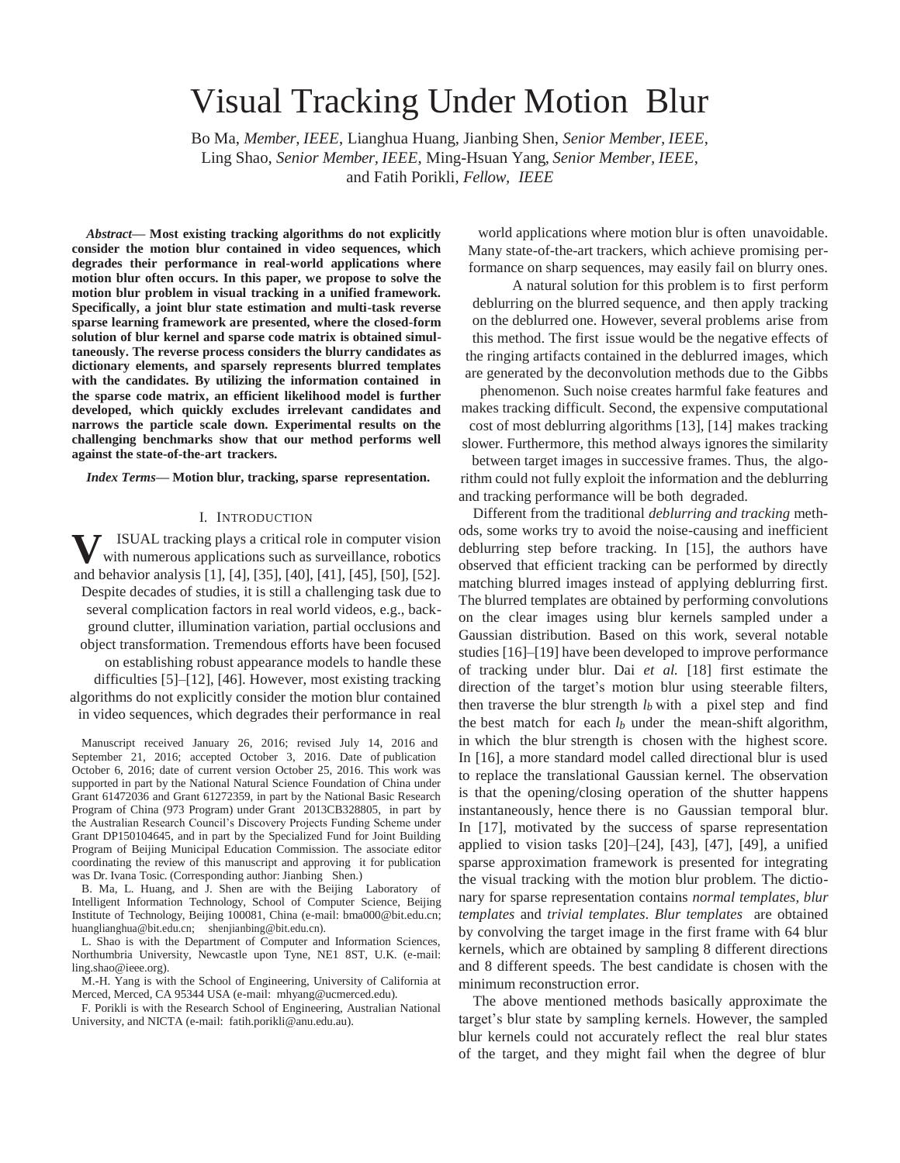# Visual Tracking Under Motion Blur

Bo Ma, *Member, IEEE*, Lianghua Huang, Jianbing Shen, *Senior Member, IEEE*, Ling Shao, *Senior Member, IEEE*, Ming-Hsuan Yang, *Senior Member, IEEE*, and Fatih Porikli, *Fellow, IEEE*

*Abstract***— Most existing tracking algorithms do not explicitly consider the motion blur contained in video sequences, which degrades their performance in real-world applications where motion blur often occurs. In this paper, we propose to solve the motion blur problem in visual tracking in a unified framework. Specifically, a joint blur state estimation and multi-task reverse sparse learning framework are presented, where the closed-form solution of blur kernel and sparse code matrix is obtained simultaneously. The reverse process considers the blurry candidates as dictionary elements, and sparsely represents blurred templates with the candidates. By utilizing the information contained in the sparse code matrix, an efficient likelihood model is further developed, which quickly excludes irrelevant candidates and narrows the particle scale down. Experimental results on the challenging benchmarks show that our method performs well against the state-of-the-art trackers.**

*Index Terms***— Motion blur, tracking, sparse representation.**

# I. INTRODUCTION

**V** ISUAL tracking plays a critical role in computer vision<br>with numerous applications such as surveillance, robotics ISUAL tracking plays a critical role in computer vision and behavior analysis [1], [4], [35], [40], [41], [45], [50], [52]. Despite decades of studies, it is still a challenging task due to several complication factors in real world videos, e.g., background clutter, illumination variation, partial occlusions and object transformation. Tremendous efforts have been focused on establishing robust appearance models to handle these difficulties [5]–[12], [46]. However, most existing tracking algorithms do not explicitly consider the motion blur contained in video sequences, which degrades their performance in real

Manuscript received January 26, 2016; revised July 14, 2016 and September 21, 2016; accepted October 3, 2016. Date of publication October 6, 2016; date of current version October 25, 2016. This work was supported in part by the National Natural Science Foundation of China under Grant 61472036 and Grant 61272359, in part by the National Basic Research Program of China (973 Program) under Grant 2013CB328805, in part by the Australian Research Council's Discovery Projects Funding Scheme under Grant DP150104645, and in part by the Specialized Fund for Joint Building Program of Beijing Municipal Education Commission. The associate editor coordinating the review of this manuscript and approving it for publication was Dr. Ivana Tosic. (Corresponding author: Jianbing Shen.)

B. Ma, L. Huang, and J. Shen are with the Beijing Laboratory of Intelligent Information Technology, School of Computer Science, Beijing Institute of Technology, Beijing 100081, China (e-mail: bma000@bit.edu.cn; huanglianghua@bit.edu.cn; shenjianbing@bit.edu.cn).

L. Shao is with the Department of Computer and Information Sciences, Northumbria University, Newcastle upon Tyne, NE1 8ST, U.K. (e-mail: ling.shao@ieee.org).

M.-H. Yang is with the School of Engineering, University of California at Merced, Merced, CA 95344 USA (e-mail: mhyang@ucmerced.edu).

F. Porikli is with the Research School of Engineering, Australian National University, and NICTA (e-mail: fatih.porikli@anu.edu.au).

world applications where motion blur is often unavoidable. Many state-of-the-art trackers, which achieve promising performance on sharp sequences, may easily fail on blurry ones.

A natural solution for this problem is to first perform deblurring on the blurred sequence, and then apply tracking on the deblurred one. However, several problems arise from this method. The first issue would be the negative effects of the ringing artifacts contained in the deblurred images, which are generated by the deconvolution methods due to the Gibbs

phenomenon. Such noise creates harmful fake features and makes tracking difficult. Second, the expensive computational cost of most deblurring algorithms [13], [14] makes tracking slower. Furthermore, this method always ignores the similarity between target images in successive frames. Thus, the algorithm could not fully exploit the information and the deblurring and tracking performance will be both degraded.

Different from the traditional *deblurring and tracking* methods, some works try to avoid the noise-causing and inefficient deblurring step before tracking. In [15], the authors have observed that efficient tracking can be performed by directly matching blurred images instead of applying deblurring first. The blurred templates are obtained by performing convolutions on the clear images using blur kernels sampled under a Gaussian distribution. Based on this work, several notable studies [16]–[19] have been developed to improve performance of tracking under blur. Dai *et al.* [18] first estimate the direction of the target's motion blur using steerable filters, then traverse the blur strength *lb* with a pixel step and find the best match for each  $l_b$  under the mean-shift algorithm, in which the blur strength is chosen with the highest score. In [16], a more standard model called directional blur is used to replace the translational Gaussian kernel. The observation is that the opening/closing operation of the shutter happens instantaneously, hence there is no Gaussian temporal blur. In [17], motivated by the success of sparse representation applied to vision tasks  $[20]$ – $[24]$ ,  $[43]$ ,  $[47]$ ,  $[49]$ , a unified sparse approximation framework is presented for integrating the visual tracking with the motion blur problem. The dictionary for sparse representation contains *normal templates, blur templates* and *trivial templates*. *Blur templates* are obtained by convolving the target image in the first frame with 64 blur kernels, which are obtained by sampling 8 different directions and 8 different speeds. The best candidate is chosen with the minimum reconstruction error.

The above mentioned methods basically approximate the target's blur state by sampling kernels. However, the sampled blur kernels could not accurately reflect the real blur states of the target, and they might fail when the degree of blur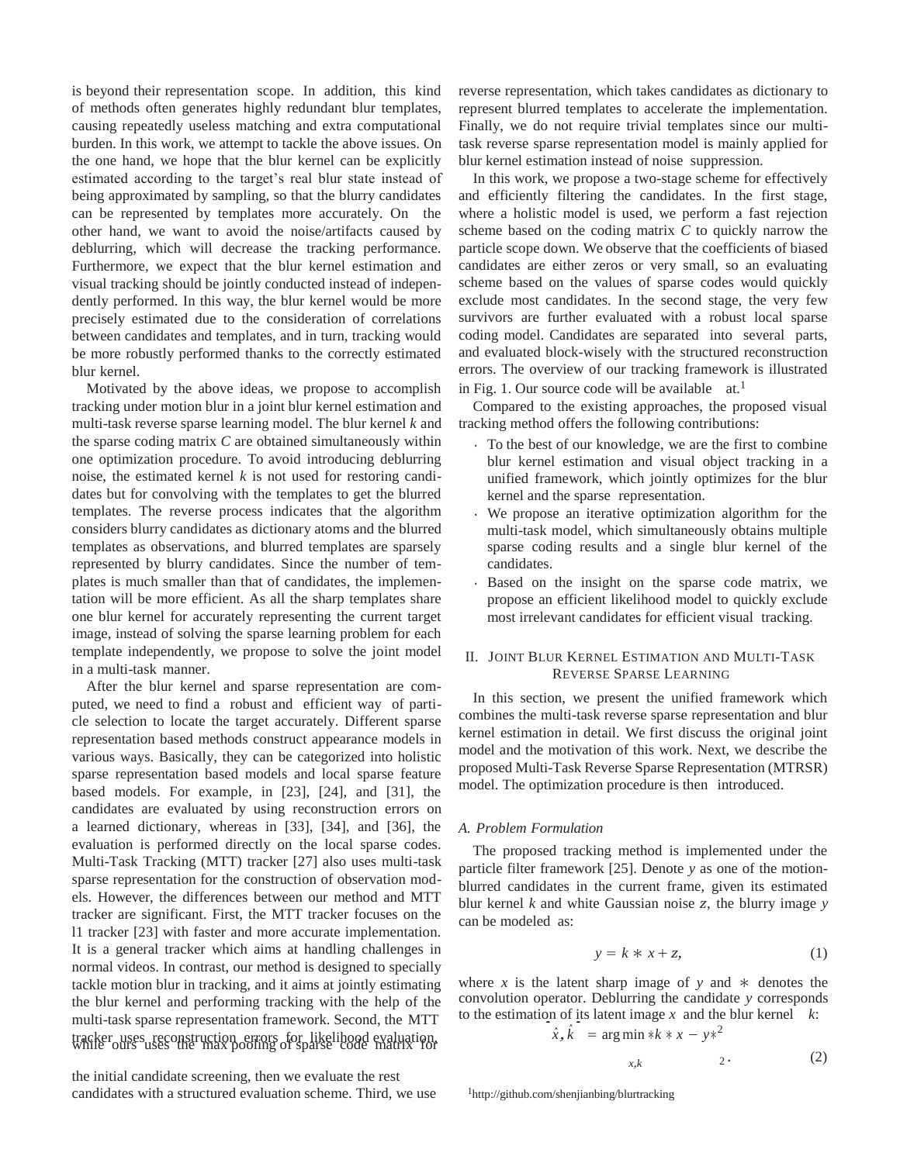is beyond their representation scope. In addition, this kind of methods often generates highly redundant blur templates, causing repeatedly useless matching and extra computational burden. In this work, we attempt to tackle the above issues. On the one hand, we hope that the blur kernel can be explicitly estimated according to the target's real blur state instead of being approximated by sampling, so that the blurry candidates can be represented by templates more accurately. On the other hand, we want to avoid the noise/artifacts caused by deblurring, which will decrease the tracking performance. Furthermore, we expect that the blur kernel estimation and visual tracking should be jointly conducted instead of independently performed. In this way, the blur kernel would be more precisely estimated due to the consideration of correlations between candidates and templates, and in turn, tracking would be more robustly performed thanks to the correctly estimated blur kernel.

Motivated by the above ideas, we propose to accomplish tracking under motion blur in a joint blur kernel estimation and multi-task reverse sparse learning model. The blur kernel *k* and the sparse coding matrix *C* are obtained simultaneously within one optimization procedure. To avoid introducing deblurring noise, the estimated kernel *k* is not used for restoring candidates but for convolving with the templates to get the blurred templates. The reverse process indicates that the algorithm considers blurry candidates as dictionary atoms and the blurred templates as observations, and blurred templates are sparsely represented by blurry candidates. Since the number of templates is much smaller than that of candidates, the implementation will be more efficient. As all the sharp templates share one blur kernel for accurately representing the current target image, instead of solving the sparse learning problem for each template independently, we propose to solve the joint model in a multi-task manner.

After the blur kernel and sparse representation are computed, we need to find a robust and efficient way of particle selection to locate the target accurately. Different sparse representation based methods construct appearance models in various ways. Basically, they can be categorized into holistic sparse representation based models and local sparse feature based models. For example, in [23], [24], and [31], the candidates are evaluated by using reconstruction errors on a learned dictionary, whereas in [33], [34], and [36], the evaluation is performed directly on the local sparse codes. Multi-Task Tracking (MTT) tracker [27] also uses multi-task sparse representation for the construction of observation models. However, the differences between our method and MTT tracker are significant. First, the MTT tracker focuses on the l1 tracker [23] with faster and more accurate implementation. It is a general tracker which aims at handling challenges in normal videos. In contrast, our method is designed to specially tackle motion blur in tracking, and it aims at jointly estimating the blur kernel and performing tracking with the help of the multi-task sparse representation framework. Second, the MTT tracker uses reconstruction errors for likelihood evaluation, while ours uses the max pooling of sparse code matrix for

the initial candidate screening, then we evaluate the rest candidates with a structured evaluation scheme. Third, we use reverse representation, which takes candidates as dictionary to represent blurred templates to accelerate the implementation. Finally, we do not require trivial templates since our multitask reverse sparse representation model is mainly applied for blur kernel estimation instead of noise suppression.

In this work, we propose a two-stage scheme for effectively and efficiently filtering the candidates. In the first stage, where a holistic model is used, we perform a fast rejection scheme based on the coding matrix *C* to quickly narrow the particle scope down. We observe that the coefficients of biased candidates are either zeros or very small, so an evaluating scheme based on the values of sparse codes would quickly exclude most candidates. In the second stage, the very few survivors are further evaluated with a robust local sparse coding model. Candidates are separated into several parts, and evaluated block-wisely with the structured reconstruction errors. The overview of our tracking framework is illustrated in Fig. 1. Our source code will be available  $at.1$ 

Compared to the existing approaches, the proposed visual tracking method offers the following contributions:

- To the best of our knowledge, we are the first to combine blur kernel estimation and visual object tracking in a unified framework, which jointly optimizes for the blur kernel and the sparse representation.
- We propose an iterative optimization algorithm for the multi-task model, which simultaneously obtains multiple sparse coding results and a single blur kernel of the candidates.
- Based on the insight on the sparse code matrix, we propose an efficient likelihood model to quickly exclude most irrelevant candidates for efficient visual tracking.

# II. JOINT BLUR KERNEL ESTIMATION AND MULTI-TASK REVERSE SPARSE LEARNING

In this section, we present the unified framework which combines the multi-task reverse sparse representation and blur kernel estimation in detail. We first discuss the original joint model and the motivation of this work. Next, we describe the proposed Multi-Task Reverse Sparse Representation (MTRSR) model. The optimization procedure is then introduced.

# *A. Problem Formulation*

The proposed tracking method is implemented under the particle filter framework [25]. Denote *y* as one of the motionblurred candidates in the current frame, given its estimated blur kernel *k* and white Gaussian noise *z*, the blurry image *y*  can be modeled as:

$$
y = k \ast x + z,\tag{1}
$$

where *x* is the latent sharp image of *y* and  $*$  denotes the convolution operator. Deblurring the candidate *y* corresponds convolution operator. Deblurring the candidate *y* correspond to the estimation of its latent image *x* and the blur kernel *k*:

$$
\hat{x}, \hat{k} = \arg\min *k * x - y*^2
$$

$$
x,k \qquad \qquad 2 \qquad \qquad (2)
$$

<sup>1</sup><http://github.com/shenjianbing/blurtracking>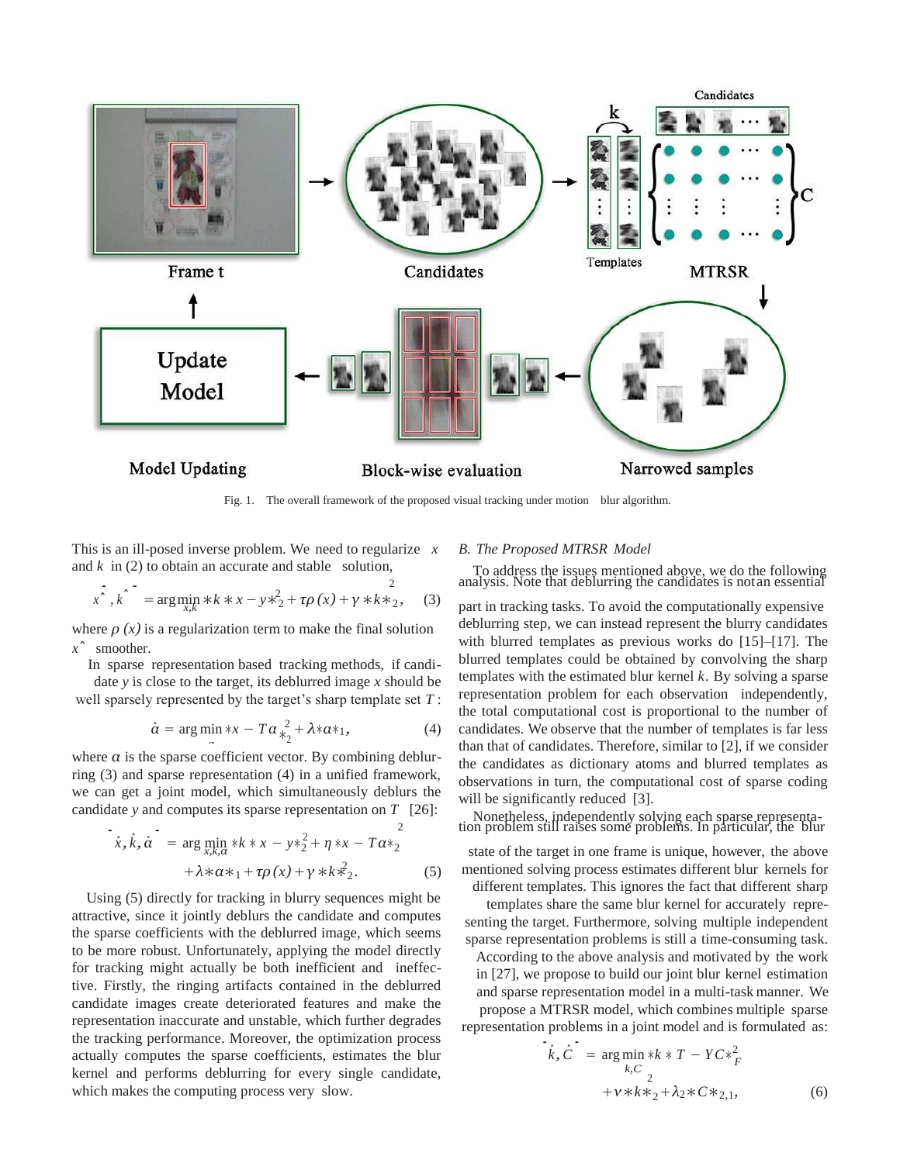

Fig. 1. The overall framework of the proposed visual tracking under motion blur algorithm.

This is an ill-posed inverse problem. We need to regularize *x* and  $k$  in (2) to obtain an accurate and stable solution,

$$
x^{2}, k^{2} = \arg\min_{x,k} *k * x - y *_{2}^{2} + \tau \rho(x) + \gamma * k *_{2}^{2}, \quad (3)
$$

where  $\rho(x)$  is a regularization term to make the final solution *x*ˆ smoother.

In sparse representation based tracking methods, if candidate *y* is close to the target, its deblurred image *x* should be well sparsely represented by the target's sharp template set *T* :

$$
\hat{\alpha} = \arg\min_{\alpha} *x - T\alpha \frac{2}{\ast_2} + \lambda \alpha \ast_1,\tag{4}
$$

where  $\alpha$  is the sparse coefficient vector. By combining deblurring (3) and sparse representation (4) in a unified framework, we can get a joint model, which simultaneously deblurs the candidate *y* and computes its sparse representation on  $T$  [26]:

$$
\begin{aligned} \mathbf{F}_{\hat{x}, \hat{k}, \hat{\alpha}}^{\dagger} &= \arg \min_{x, k, \alpha} *k * x - y *_{2}^{2} + \eta * x - T \alpha *_{2}^{2} \\ &+ \lambda * \alpha *_{1} + \tau \rho(x) + \gamma * k *_{2}^{2} . \end{aligned} \tag{5}
$$

Using (5) directly for tracking in blurry sequences might be attractive, since it jointly deblurs the candidate and computes the sparse coefficients with the deblurred image, which seems to be more robust. Unfortunately, applying the model directly for tracking might actually be both inefficient and ineffective. Firstly, the ringing artifacts contained in the deblurred candidate images create deteriorated features and make the representation inaccurate and unstable, which further degrades the tracking performance. Moreover, the optimization process actually computes the sparse coefficients, estimates the blur kernel and performs deblurring for every single candidate, which makes the computing process very slow.

### *B. The Proposed MTRSR Model*

To address the issues mentioned above, we do the following 2 analysis. Note that deblurring the candidates is notan essential

part in tracking tasks. To avoid the computationally expensive deblurring step, we can instead represent the blurry candidates with blurred templates as previous works do [15]–[17]. The blurred templates could be obtained by convolving the sharp templates with the estimated blur kernel *k*. By solving a sparse representation problem for each observation independently, the total computational cost is proportional to the number of candidates. We observe that the number of templates is far less than that of candidates. Therefore, similar to [2], if we consider the candidates as dictionary atoms and blurred templates as observations in turn, the computational cost of sparse coding will be significantly reduced [3].

 $\frac{1}{2}$  Nonetheless, independently solving each sparse representa-<br>2 tion problem still raises some problems. In particular, the blur

state of the target in one frame is unique, however, the above mentioned solving process estimates different blur kernels for different templates. This ignores the fact that different sharp

templates share the same blur kernel for accurately representing the target. Furthermore, solving multiple independent sparse representation problems is still a time-consuming task.

According to the above analysis and motivated by the work in [27], we propose to build our joint blur kernel estimation and sparse representation model in a multi-task manner. We propose a MTRSR model, which combines multiple sparse representation problems in a joint model and is formulated as:

$$
\hat{k}, \hat{C} = \underset{k, C}{\arg \min} *k * T - YC *_{F}^{2}
$$
  
+  $v * k *_{2} + \lambda_{2} * C *_{2,1}$ , (6)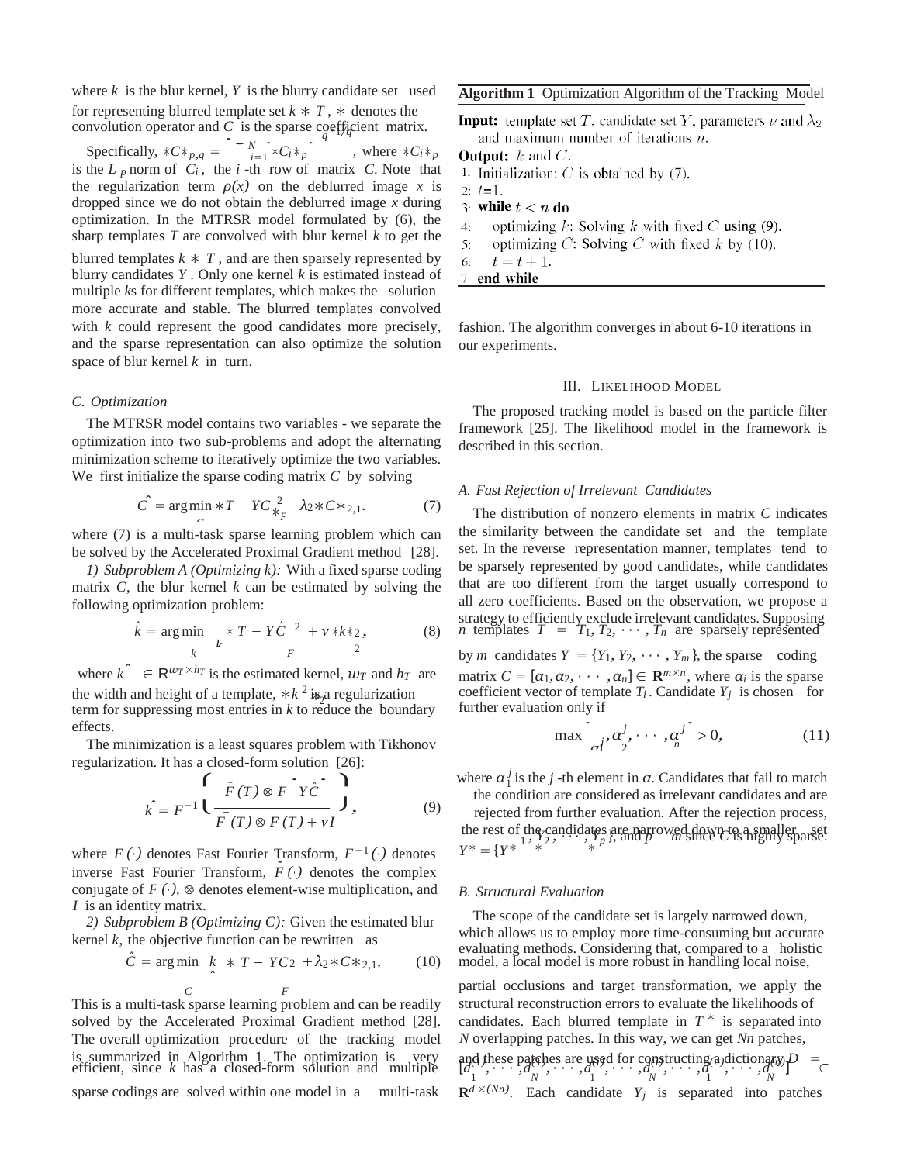Fore *k* is the blur kernel, *Y* is the blur:<br>
r representing blurred template set *k* +<br>
nvolution operator and *C* is the sparse<br>
Specifically,  $*C * p, q = \int_{i=1}^{n} * C_i * p$ where  $k$  is the blur kernel,  $Y$  is the blurry candidate set used for representing blurred template set  $k * T$ ,  $*$  denotes the for representing blurred template set  $k \times T$ ,  $\ast$  denotes the convolution operator and *C* is the sparse coefficient matrix.

, where  $*C_i *_{p}$ is the  $L_p$  norm of  $C_i$ , the *i*-th row of matrix  $C$ . Note that the regularization term  $\rho(x)$  on the deblurred image *x* is dropped since we do not obtain the deblurred image *x* during optimization. In the MTRSR model formulated by (6), the sharp templates *T* are convolved with blur kernel *k* to get the blurred templates  $k \times T$ , and are then sparsely represented by blurry candidates *Y* . Only one kernel *k* is estimated instead of multiple *k*s for different templates, which makes the solution more accurate and stable. The blurred templates convolved with *k* could represent the good candidates more precisely, and the sparse representation can also optimize the solution space of blur kernel *k* in turn.

### *C. Optimization*

The MTRSR model contains two variables - we separate the optimization into two sub-problems and adopt the alternating minimization scheme to iteratively optimize the two variables. We first initialize the sparse coding matrix *C* by solving

$$
\hat{C} = \arg\min_{C} *T - YC\frac{2}{*_{F}} + \lambda_{2} * C *_{2,1}.
$$
 (7)

where  $(7)$  is a multi-task sparse learning problem which can be solved by the Accelerated Proximal Gradient method [28].

*1) Subproblem A (Optimizing k):* With a fixed sparse coding matrix *C*, the blur kernel *k* can be estimated by solving the following optimization problem:

$$
\hat{k} = \underset{k}{\arg\min} \quad \underset{L}{*} \; T - Y\hat{C}^{-2} + v * k *_{2}, \tag{8}
$$

the width and height of a template,  $* k^2$  is a regularization where  $k^{\hat{}} \in \mathbb{R}^{w_T \times h_T}$  is the estimated kernel,  $w_T$  and  $h_T$  are term for suppressing most entries in *k* to reduce the boundary effects.

The minimization is a least squares problem with Tikhonov regularization. It has a closed-form solution [26]:

$$
\hat{k} = F^{-1} \left( \frac{\bar{F}(T) \otimes F \check{Y} \hat{C}}{\bar{F}(T) \otimes F(T) + vI} \right), \tag{9}
$$

where  $F(\cdot)$  denotes Fast Fourier Transform,  $F^{-1}(\cdot)$  denotes *Y* inverse Fast Fourier Transform,  $F(\cdot)$  denotes the complex conjugate of  $F(\cdot)$ ,  $\otimes$  denotes element-wise multiplication, and *I* is an identity matrix.

*2) Subproblem B (Optimizing C):* Given the estimated blur kernel  $k$ , the objective function can be rewritten as

$$
\hat{C} = \arg\min_{\lambda} \ k \ * \ T - YC_2 + \lambda_2 * C *_{2,1}, \tag{10}
$$

*C F* This is a multi-task sparse learning problem and can be readily solved by the Accelerated Proximal Gradient method [28]. The overall optimization procedure of the tracking model is summarized in Algorithm 1. The optimization is efficient, since  $k$  has a closed-form solution and multiple

sparse codings are solved within one model in a multi-task

**Algorithm 1** Optimization Algorithm of the Tracking Model

**Input:** template set T, candidate set Y, parameters  $\nu$  and  $\lambda_2$ and maximum number of iterations  $n$ .

**Output:**  $k$  and  $C$ .

1: Initialization:  $C$  is obtained by (7).

 $2: t=1.$ 3: while  $t < n$  do

optimizing  $k$ : Solving  $k$  with fixed  $C$  using (9). 4:

optimizing C: Solving C with fixed  $k$  by (10). 5.

 $t=t+1$ . 6.  $7:$  end while

fashion. The algorithm converges in about 6-10 iterations in our experiments.

### III. LIKELIHOOD MODEL

The proposed tracking model is based on the particle filter framework [25]. The likelihood model in the framework is described in this section.

#### *A. Fast Rejection of Irrelevant Candidates*

The distribution of nonzero elements in matrix *C* indicates the similarity between the candidate set and the template set. In the reverse representation manner, templates tend to be sparsely represented by good candidates, while candidates that are too different from the target usually correspond to all zero coefficients. Based on the observation, we propose a strategy to efficiently exclude irrelevant candidates. Supposing *n* templates  $T = T_1, T_2, \cdots, T_n$  are sparsely represented by *m* candidates  $Y = \{Y_1, Y_2, \cdots, Y_m\}$ , the sparse coding

matrix  $C = [\alpha_1, \alpha_2, \cdots, \alpha_n] \in \mathbb{R}^{m \times n}$ , where  $\alpha_i$  is the sparse coefficient vector of template  $T_i$ . Candidate  $Y_j$  is chosen for further evaluation only if . .

$$
\max \left[ a_i^j, \alpha_2^j, \cdots, \alpha_n^j \right] > 0, \tag{11}
$$

where  $\alpha_1^j$  is the *j*-th element in  $\alpha$ . Candidates that fail to match

the condition are considered as irrelevant candidates and are rejected from further evaluation. After the rejection process, the rest of the candidates are narrowed down to a smaller parse. \* = {*Y*<sup>\* '</sup> <sup>\*</sup> <sup>\*</sup> ΄ <sup>\*</sup> \*

#### *B. Structural Evaluation*

The scope of the candidate set is largely narrowed down, which allows us to employ more time-consuming but accurate evaluating methods. Considering that, compared to a holistic *F* model, a local model is more robust in handling local noise,

partial occlusions and target transformation, we apply the structural reconstruction errors to evaluate the likelihoods of candidates. Each blurred template in  $T^*$  is separated into *N* overlapping patches. In this way, we can get *Nn* patches,

and these patches are used for constructing a dictionary  $P = \n\begin{bmatrix}\nd_1, & \cdots, & d_N, & \cdots, & d_N \\
a_2, & \cdots, & a_N, & \cdots, & a_N\n\end{bmatrix}$  $\mathbf{R}^{d} \times (Nn)$ . Each candidate  $Y_j$  is separated into patches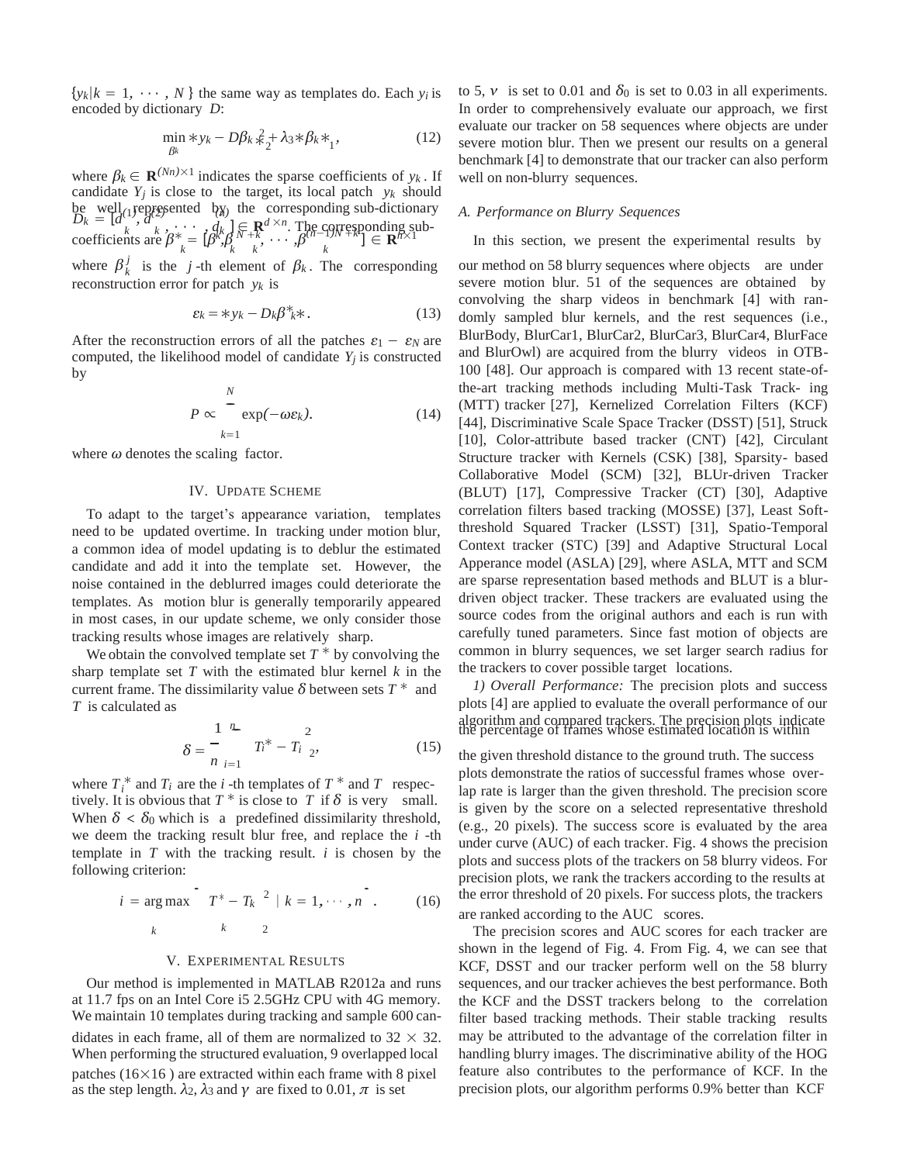$\{y_k | k = 1, \dots, N\}$  the same way as templates do. Each  $y_i$  is encoded by dictionary *D*:

$$
\min_{\beta k} * y_k - D\beta_k \frac{2}{*} + \lambda_3 * \beta_k *_{1},
$$
\n(12)

where  $\beta_k \in \mathbf{R}^{(Nn) \times 1}$  indicates the sparse coefficients of  $y_k$ . If candidate  $Y_j$  is close to the target, its local patch  $y_k$  should be well represented by the corresponding sub-dictionary *A. Performance on Blurry Sequences*<br>  $D_k = [d^{(1)}, d^{(2)}]$   $\ldots$   $d^{(1)} \in \mathbf{P}^{d \times n}$  The corresponding sub  $\kappa$ ,  $\kappa$   $\kappa$ ,  $\kappa$   $\kappa$   $\kappa$   $\kappa$   $\kappa$   $\kappa$   $\kappa$   $\kappa$   $\kappa$   $\kappa$   $\kappa$   $\kappa$   $\kappa$   $\kappa$   $\kappa$   $\kappa$   $\kappa$   $\kappa$   $\kappa$   $\kappa$   $\kappa$   $\kappa$   $\kappa$   $\kappa$   $\kappa$   $\kappa$   $\kappa$   $\kappa$   $\kappa$   $\kappa$   $\kappa$   $\kappa$   $\kappa$   $\k$ coefficients are  $\beta^*_{\substack{k \\ k}} = [\beta^k]_k^k \beta^N_{\substack{k \\ k \\ k}} + \beta^N_{\substack{k \\ k \\ k}} + \beta^N_{\substack{k \\ k \\ k}} + \beta^N_{\substack{k \\ k}} = [\beta^N]_k^k$ 

where  $\beta_k^j$ reconstruction error for patch *yk* is

$$
\varepsilon_k = \varepsilon_{k} - D_k \beta^* \varepsilon_k. \tag{13}
$$

After the reconstruction errors of all the patches  $\varepsilon_1 - \varepsilon_N$  are computed, the likelihood model of candidate  $Y_j$  is constructed by  $\frac{\text{error}}{N}$ 

$$
P \propto \int_{k=1}^{N} \exp(-\omega \varepsilon_k). \tag{14}
$$

where *ω* denotes the scaling factor.

# IV. UPDATE SCHEME

To adapt to the target's appearance variation, templates need to be updated overtime. In tracking under motion blur, a common idea of model updating is to deblur the estimated candidate and add it into the template set. However, the noise contained in the deblurred images could deteriorate the templates. As motion blur is generally temporarily appeared in most cases, in our update scheme, we only consider those tracking results whose images are relatively sharp.

We obtain the convolved template set  $T^*$  by convolving the sharp template set *T* with the estimated blur kernel *k* in the current frame. The dissimilarity value  $\delta$  between sets  $T^*$  and *T* is calculated as current frame. The dissimilarity value  $\delta$  between sets  $T^*$  and *T* is calculated as

$$
\delta = \frac{1}{n} \sum_{i=1}^{n} T_i^* - T_i \sum_{i=2}^{n} (15)
$$

where  $T_i^*$  and  $T_i$  are the *i*-th templates of  $T^*$  and  $T$  respectively. It is obvious that  $T^*$  is close to  $T$  if  $\delta$  is very small. When  $\delta < \delta_0$  which is a predefined dissimilarity threshold, we deem the tracking result blur free, and replace the *i* -th template in *T* with the tracking result. *i* is chosen by the following criterion: . .

$$
i = \arg \max_{k} \left[ T^* - T_k^* \right] \mid k = 1, \cdots, n \quad . \tag{16}
$$

# V. EXPERIMENTAL RESULTS

Our method is implemented in MATLAB R2012a and runs at 11.7 fps on an Intel Core i5 2.5GHz CPU with 4G memory. We maintain 10 templates during tracking and sample 600 candidates in each frame, all of them are normalized to  $32 \times 32$ . When performing the structured evaluation, 9 overlapped local patches  $(16\times16)$  are extracted within each frame with 8 pixel as the step length.  $\lambda_2$ ,  $\lambda_3$  and  $\gamma$  are fixed to 0.01,  $\pi$  is set

to 5,  $\nu$  is set to 0.01 and  $\delta_0$  is set to 0.03 in all experiments. In order to comprehensively evaluate our approach, we first evaluate our tracker on 58 sequences where objects are under severe motion blur. Then we present our results on a general benchmark [4] to demonstrate that our tracker can also perform well on non-blurry sequences.

In this section, we present the experimental results by

our method on 58 blurry sequences where objects are under severe motion blur. 51 of the sequences are obtained by convolving the sharp videos in benchmark [4] with randomly sampled blur kernels, and the rest sequences (i.e., BlurBody, BlurCar1, BlurCar2, BlurCar3, BlurCar4, BlurFace and BlurOwl) are acquired from the blurry videos in OTB-100 [48]. Our approach is compared with 13 recent state-ofthe-art tracking methods including Multi-Task Track- ing (MTT) tracker [27], Kernelized Correlation Filters (KCF) [44], Discriminative Scale Space Tracker (DSST) [51], Struck [10], Color-attribute based tracker (CNT) [42], Circulant Structure tracker with Kernels (CSK) [38], Sparsity- based Collaborative Model (SCM) [32], BLUr-driven Tracker (BLUT) [17], Compressive Tracker (CT) [30], Adaptive correlation filters based tracking (MOSSE) [37], Least Softthreshold Squared Tracker (LSST) [31], Spatio-Temporal Context tracker (STC) [39] and Adaptive Structural Local Apperance model (ASLA) [29], where ASLA, MTT and SCM are sparse representation based methods and BLUT is a blurdriven object tracker. These trackers are evaluated using the source codes from the original authors and each is run with carefully tuned parameters. Since fast motion of objects are common in blurry sequences, we set larger search radius for the trackers to cover possible target locations.

*1) Overall Performance:* The precision plots and success plots [4] are applied to evaluate the overall performance of our algorithm and compared trackers. The precision plots indicate the percentage of frames whose estimated location is within

the given threshold distance to the ground truth. The success plots demonstrate the ratios of successful frames whose overlap rate is larger than the given threshold. The precision score is given by the score on a selected representative threshold (e.g., 20 pixels). The success score is evaluated by the area under curve (AUC) of each tracker. Fig. 4 shows the precision plots and success plots of the trackers on 58 blurry videos. For precision plots, we rank the trackers according to the results at the error threshold of 20 pixels. For success plots, the trackers are ranked according to the AUC scores.

The precision scores and AUC scores for each tracker are shown in the legend of Fig. 4. From Fig. 4, we can see that KCF, DSST and our tracker perform well on the 58 blurry sequences, and our tracker achieves the best performance. Both the KCF and the DSST trackers belong to the correlation filter based tracking methods. Their stable tracking results may be attributed to the advantage of the correlation filter in handling blurry images. The discriminative ability of the HOG feature also contributes to the performance of KCF. In the precision plots, our algorithm performs 0.9% better than KCF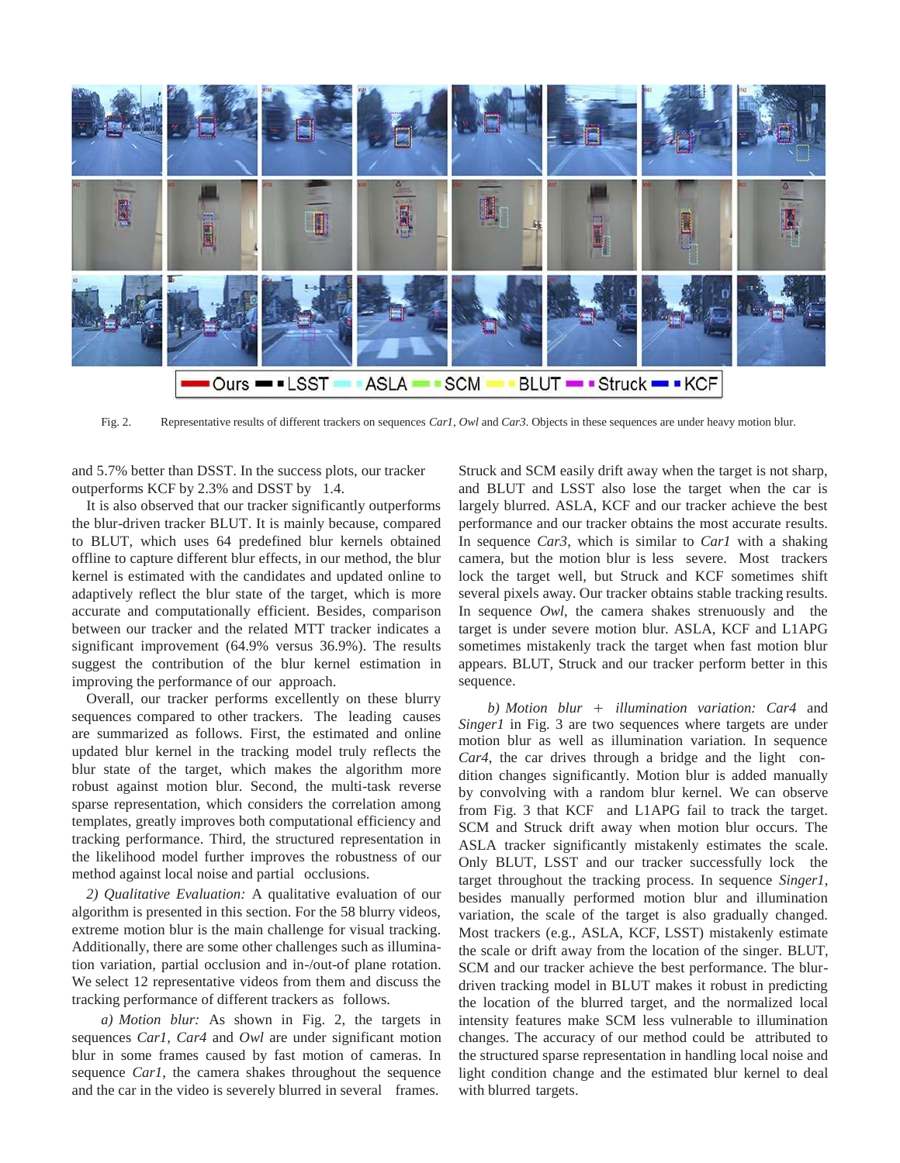

Fig. 2. Representative results of different trackers on sequences *Car1*, *Owl* and *Car3*. Objects in these sequences are under heavy motion blur.

and 5.7% better than DSST. In the success plots, our tracker outperforms KCF by 2.3% and DSST by 1.4.

It is also observed that our tracker significantly outperforms the blur-driven tracker BLUT. It is mainly because, compared to BLUT, which uses 64 predefined blur kernels obtained offline to capture different blur effects, in our method, the blur kernel is estimated with the candidates and updated online to adaptively reflect the blur state of the target, which is more accurate and computationally efficient. Besides, comparison between our tracker and the related MTT tracker indicates a significant improvement (64.9% versus 36.9%). The results suggest the contribution of the blur kernel estimation in improving the performance of our approach.

Overall, our tracker performs excellently on these blurry sequences compared to other trackers. The leading causes are summarized as follows. First, the estimated and online updated blur kernel in the tracking model truly reflects the blur state of the target, which makes the algorithm more robust against motion blur. Second, the multi-task reverse sparse representation, which considers the correlation among templates, greatly improves both computational efficiency and tracking performance. Third, the structured representation in the likelihood model further improves the robustness of our method against local noise and partial occlusions.

*2) Qualitative Evaluation:* A qualitative evaluation of our algorithm is presented in this section. For the 58 blurry videos, extreme motion blur is the main challenge for visual tracking. Additionally, there are some other challenges such as illumination variation, partial occlusion and in-/out-of plane rotation. We select 12 representative videos from them and discuss the tracking performance of different trackers as follows.

*a) Motion blur:* As shown in Fig. 2, the targets in sequences *Car1*, *Car4* and *Owl* are under significant motion blur in some frames caused by fast motion of cameras. In sequence *Car1*, the camera shakes throughout the sequence and the car in the video is severely blurred in several frames.

Struck and SCM easily drift away when the target is not sharp, and BLUT and LSST also lose the target when the car is largely blurred. ASLA, KCF and our tracker achieve the best performance and our tracker obtains the most accurate results. In sequence *Car3*, which is similar to *Car1* with a shaking camera, but the motion blur is less severe. Most trackers lock the target well, but Struck and KCF sometimes shift several pixels away. Our tracker obtains stable tracking results. In sequence *Owl*, the camera shakes strenuously and the target is under severe motion blur. ASLA, KCF and L1APG sometimes mistakenly track the target when fast motion blur appears. BLUT, Struck and our tracker perform better in this sequence.

*b) Motion blur* + *illumination variation: Car4* and *Singer1* in Fig. 3 are two sequences where targets are under motion blur as well as illumination variation. In sequence *Car4*, the car drives through a bridge and the light condition changes significantly. Motion blur is added manually by convolving with a random blur kernel. We can observe from Fig. 3 that KCF and L1APG fail to track the target. SCM and Struck drift away when motion blur occurs. The ASLA tracker significantly mistakenly estimates the scale. Only BLUT, LSST and our tracker successfully lock the target throughout the tracking process. In sequence *Singer1*, besides manually performed motion blur and illumination variation, the scale of the target is also gradually changed. Most trackers (e.g., ASLA, KCF, LSST) mistakenly estimate the scale or drift away from the location of the singer. BLUT, SCM and our tracker achieve the best performance. The blurdriven tracking model in BLUT makes it robust in predicting the location of the blurred target, and the normalized local intensity features make SCM less vulnerable to illumination changes. The accuracy of our method could be attributed to the structured sparse representation in handling local noise and light condition change and the estimated blur kernel to deal with blurred targets.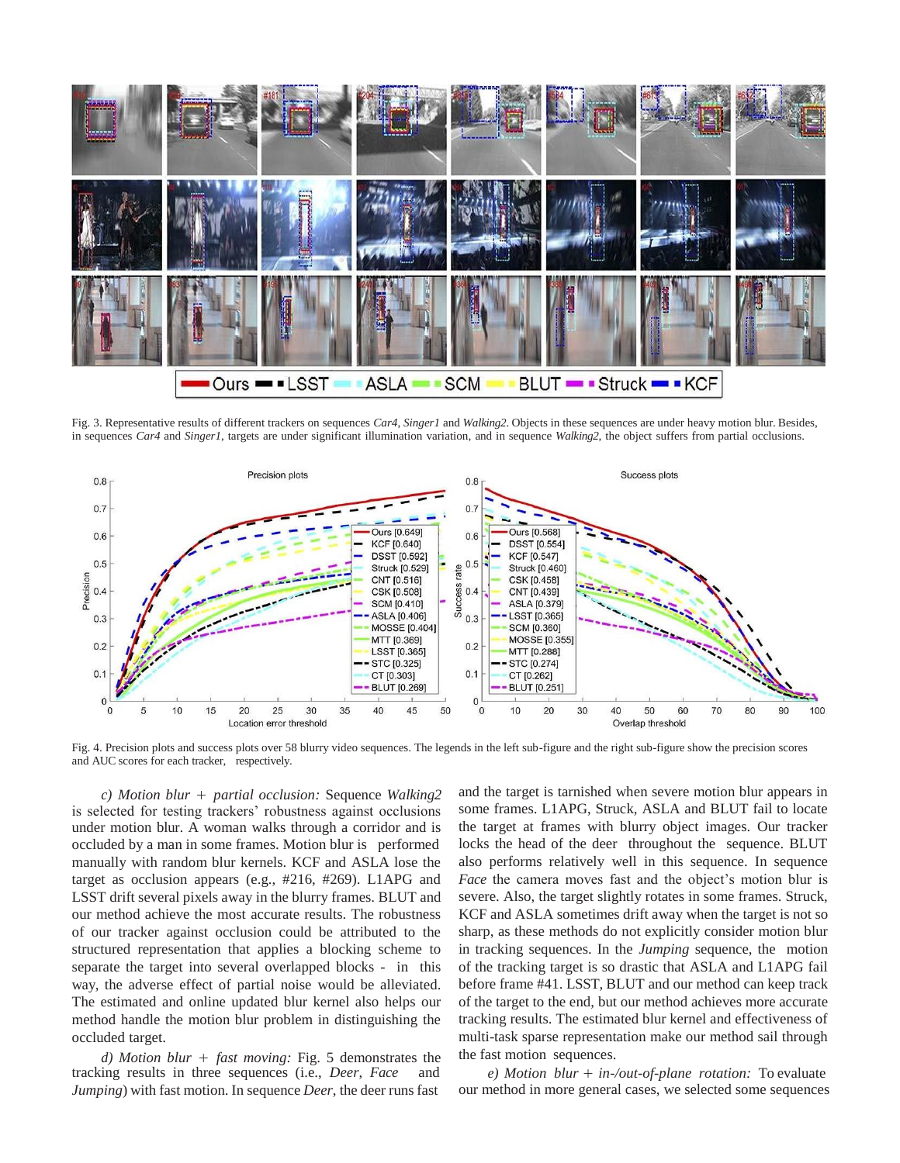

Fig. 3. Representative results of different trackers on sequences *Car4*, *Singer1* and *Walking2*. Objects in these sequences are under heavy motion blur. Besides, in sequences *Car4* and *Singer1*, targets are under significant illumination variation, and in sequence *Walking2*, the object suffers from partial occlusions.



Fig. 4. Precision plots and success plots over 58 blurry video sequences. The legends in the left sub-figure and the right sub-figure show the precision scores and AUC scores for each tracker, respectively.

*c) Motion blur* + *partial occlusion:* Sequence *Walking2*  is selected for testing trackers' robustness against occlusions under motion blur. A woman walks through a corridor and is occluded by a man in some frames. Motion blur is performed manually with random blur kernels. KCF and ASLA lose the target as occlusion appears (e.g., #216, #269). L1APG and LSST drift several pixels away in the blurry frames. BLUT and our method achieve the most accurate results. The robustness of our tracker against occlusion could be attributed to the structured representation that applies a blocking scheme to separate the target into several overlapped blocks - in this way, the adverse effect of partial noise would be alleviated. The estimated and online updated blur kernel also helps our method handle the motion blur problem in distinguishing the occluded target.

*d) Motion blur* + *fast moving:* Fig. 5 demonstrates the tracking results in three sequences (i.e., *Deer*, *Face* and *Jumping*) with fast motion. In sequence *Deer*, the deer runsfast

and the target is tarnished when severe motion blur appears in some frames. L1APG, Struck, ASLA and BLUT fail to locate the target at frames with blurry object images. Our tracker locks the head of the deer throughout the sequence. BLUT also performs relatively well in this sequence. In sequence *Face* the camera moves fast and the object's motion blur is severe. Also, the target slightly rotates in some frames. Struck, KCF and ASLA sometimes drift away when the target is not so sharp, as these methods do not explicitly consider motion blur in tracking sequences. In the *Jumping* sequence, the motion of the tracking target is so drastic that ASLA and L1APG fail before frame #41. LSST, BLUT and our method can keep track of the target to the end, but our method achieves more accurate tracking results. The estimated blur kernel and effectiveness of multi-task sparse representation make our method sail through the fast motion sequences.

*e) Motion blur* + *in-/out-of-plane rotation:* To evaluate our method in more general cases, we selected some sequences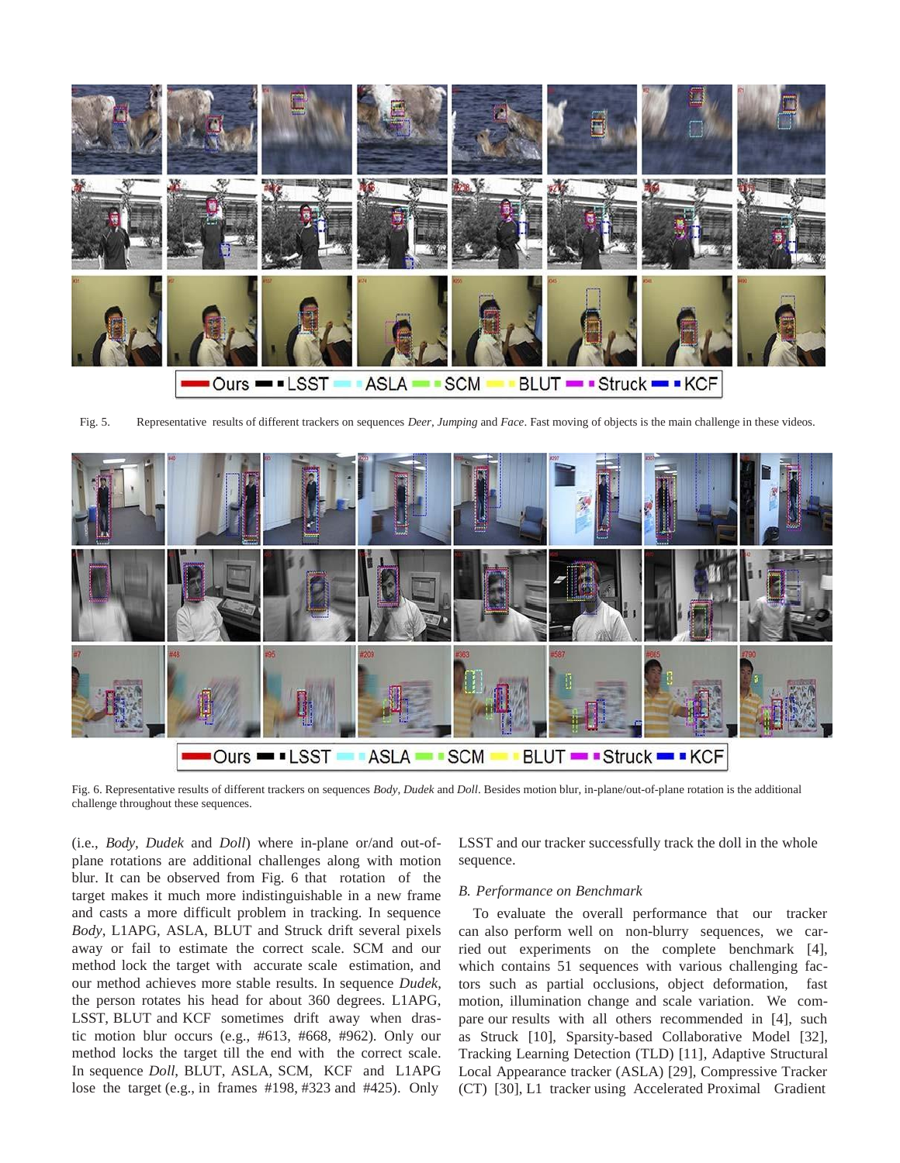

Fig. 5. Representative results of different trackers on sequences *Deer*, *Jumping* and *Face*. Fast moving of objects is the main challenge in these videos.



Fig. 6. Representative results of different trackers on sequences *Body*, *Dudek* and *Doll*. Besides motion blur, in-plane/out-of-plane rotation is the additional challenge throughout these sequences.

(i.e., *Body, Dudek* and *Doll*) where in-plane or/and out-ofplane rotations are additional challenges along with motion blur. It can be observed from Fig. 6 that rotation of the target makes it much more indistinguishable in a new frame and casts a more difficult problem in tracking. In sequence *Body*, L1APG, ASLA, BLUT and Struck drift several pixels away or fail to estimate the correct scale. SCM and our method lock the target with accurate scale estimation, and our method achieves more stable results. In sequence *Dudek*, the person rotates his head for about 360 degrees. L1APG, LSST, BLUT and KCF sometimes drift away when drastic motion blur occurs (e.g., #613, #668, #962). Only our method locks the target till the end with the correct scale. In sequence *Doll*, BLUT, ASLA, SCM, KCF and L1APG lose the target (e.g., in frames #198, #323 and #425). Only

LSST and our tracker successfully track the doll in the whole sequence.

## *B. Performance on Benchmark*

To evaluate the overall performance that our tracker can also perform well on non-blurry sequences, we carried out experiments on the complete benchmark [4], which contains 51 sequences with various challenging factors such as partial occlusions, object deformation, fast motion, illumination change and scale variation. We compare our results with all others recommended in [4], such as Struck [10], Sparsity-based Collaborative Model [32], Tracking Learning Detection (TLD) [11], Adaptive Structural Local Appearance tracker (ASLA) [29], Compressive Tracker (CT) [30], L1 tracker using Accelerated Proximal Gradient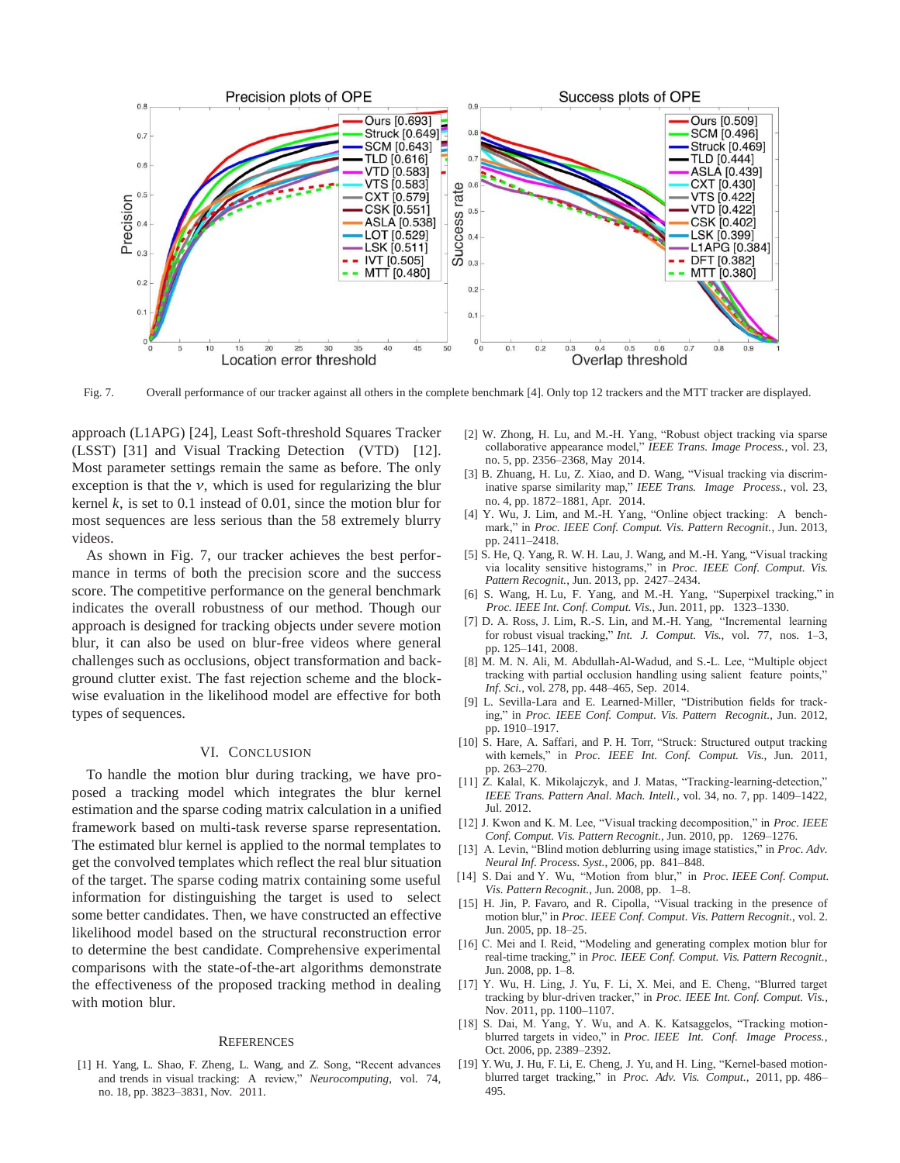

Fig. 7. Overall performance of our tracker against all others in the complete benchmark [4]. Only top 12 trackers and the MTT tracker are displayed.

approach (L1APG) [24], Least Soft-threshold Squares Tracker (LSST) [31] and Visual Tracking Detection (VTD) [12]. Most parameter settings remain the same as before. The only exception is that the  $v$ , which is used for regularizing the blur kernel  $k$ , is set to 0.1 instead of 0.01, since the motion blur for most sequences are less serious than the 58 extremely blurry videos.

As shown in Fig. 7, our tracker achieves the best performance in terms of both the precision score and the success score. The competitive performance on the general benchmark indicates the overall robustness of our method. Though our approach is designed for tracking objects under severe motion blur, it can also be used on blur-free videos where general challenges such as occlusions, object transformation and background clutter exist. The fast rejection scheme and the blockwise evaluation in the likelihood model are effective for both types of sequences.

# VI. CONCLUSION

To handle the motion blur during tracking, we have proposed a tracking model which integrates the blur kernel estimation and the sparse coding matrix calculation in a unified framework based on multi-task reverse sparse representation. The estimated blur kernel is applied to the normal templates to get the convolved templates which reflect the real blur situation of the target. The sparse coding matrix containing some useful information for distinguishing the target is used to select some better candidates. Then, we have constructed an effective likelihood model based on the structural reconstruction error to determine the best candidate. Comprehensive experimental comparisons with the state-of-the-art algorithms demonstrate the effectiveness of the proposed tracking method in dealing with motion blur.

#### **REFERENCES**

[1] H. Yang, L. Shao, F. Zheng, L. Wang, and Z. Song, "Recent advances and trends in visual tracking: A review," *Neurocomputing*, vol. 74, no. 18, pp. 3823–3831, Nov. 2011.

- [2] W. Zhong, H. Lu, and M.-H. Yang, "Robust object tracking via sparse collaborative appearance model," *IEEE Trans. Image Process.*, vol. 23, no. 5, pp. 2356–2368, May 2014.
- [3] B. Zhuang, H. Lu, Z. Xiao, and D. Wang, "Visual tracking via discriminative sparse similarity map," *IEEE Trans. Image Process.*, vol. 23, no. 4, pp. 1872–1881, Apr. 2014.
- [4] Y. Wu, J. Lim, and M.-H. Yang, "Online object tracking: A benchmark," in *Proc. IEEE Conf. Comput. Vis. Pattern Recognit.*, Jun. 2013, pp. 2411–2418.
- [5] S. He, Q. Yang, R. W. H. Lau, J. Wang, and M.-H. Yang, "Visual tracking via locality sensitive histograms," in *Proc. IEEE Conf. Comput. Vis. Pattern Recognit.*, Jun. 2013, pp. 2427–2434.
- [6] S. Wang, H. Lu, F. Yang, and M.-H. Yang, "Superpixel tracking," in *Proc. IEEE Int. Conf. Comput. Vis.*, Jun. 2011, pp. 1323–1330.
- [7] D. A. Ross, J. Lim, R.-S. Lin, and M.-H. Yang, "Incremental learning for robust visual tracking," *Int. J. Comput. Vis.*, vol. 77, nos. 1–3, pp. 125–141, 2008.
- [8] M. M. N. Ali, M. Abdullah-Al-Wadud, and S.-L. Lee, "Multiple object tracking with partial occlusion handling using salient feature points," *Inf. Sci.*, vol. 278, pp. 448–465, Sep. 2014.
- [9] L. Sevilla-Lara and E. Learned-Miller, "Distribution fields for tracking," in *Proc. IEEE Conf. Comput. Vis. Pattern Recognit.*, Jun. 2012, pp. 1910–1917.
- [10] S. Hare, A. Saffari, and P. H. Torr, "Struck: Structured output tracking with kernels," in *Proc. IEEE Int. Conf. Comput. Vis.*, Jun. 2011, pp. 263–270.
- [11] Z. Kalal, K. Mikolajczyk, and J. Matas, "Tracking-learning-detection," *IEEE Trans. Pattern Anal. Mach. Intell.*, vol. 34, no. 7, pp. 1409–1422, Jul. 2012.
- [12] J. Kwon and K. M. Lee, "Visual tracking decomposition," in *Proc. IEEE Conf. Comput. Vis. Pattern Recognit.*, Jun. 2010, pp. 1269–1276.
- [13] A. Levin, "Blind motion deblurring using image statistics," in *Proc. Adv. Neural Inf. Process. Syst.*, 2006, pp. 841–848.
- [14] S. Dai and Y. Wu, "Motion from blur," in *Proc. IEEE Conf. Comput. Vis. Pattern Recognit.*, Jun. 2008, pp. 1–8.
- [15] H. Jin, P. Favaro, and R. Cipolla, "Visual tracking in the presence of motion blur," in *Proc. IEEE Conf. Comput. Vis. Pattern Recognit.*, vol. 2. Jun. 2005, pp. 18–25.
- [16] C. Mei and I. Reid, "Modeling and generating complex motion blur for real-time tracking," in *Proc. IEEE Conf. Comput. Vis. Pattern Recognit.*, Jun. 2008, pp. 1–8.
- [17] Y. Wu, H. Ling, J. Yu, F. Li, X. Mei, and E. Cheng, "Blurred target tracking by blur-driven tracker," in *Proc. IEEE Int. Conf. Comput. Vis.*, Nov. 2011, pp. 1100–1107.
- [18] S. Dai, M. Yang, Y. Wu, and A. K. Katsaggelos, "Tracking motionblurred targets in video," in *Proc. IEEE Int. Conf. Image Process.*, Oct. 2006, pp. 2389–2392.
- [19] Y. Wu, J. Hu, F. Li, E. Cheng, J. Yu, and H. Ling, "Kernel-based motionblurred target tracking," in *Proc. Adv. Vis. Comput.*, 2011, pp. 486– 495.